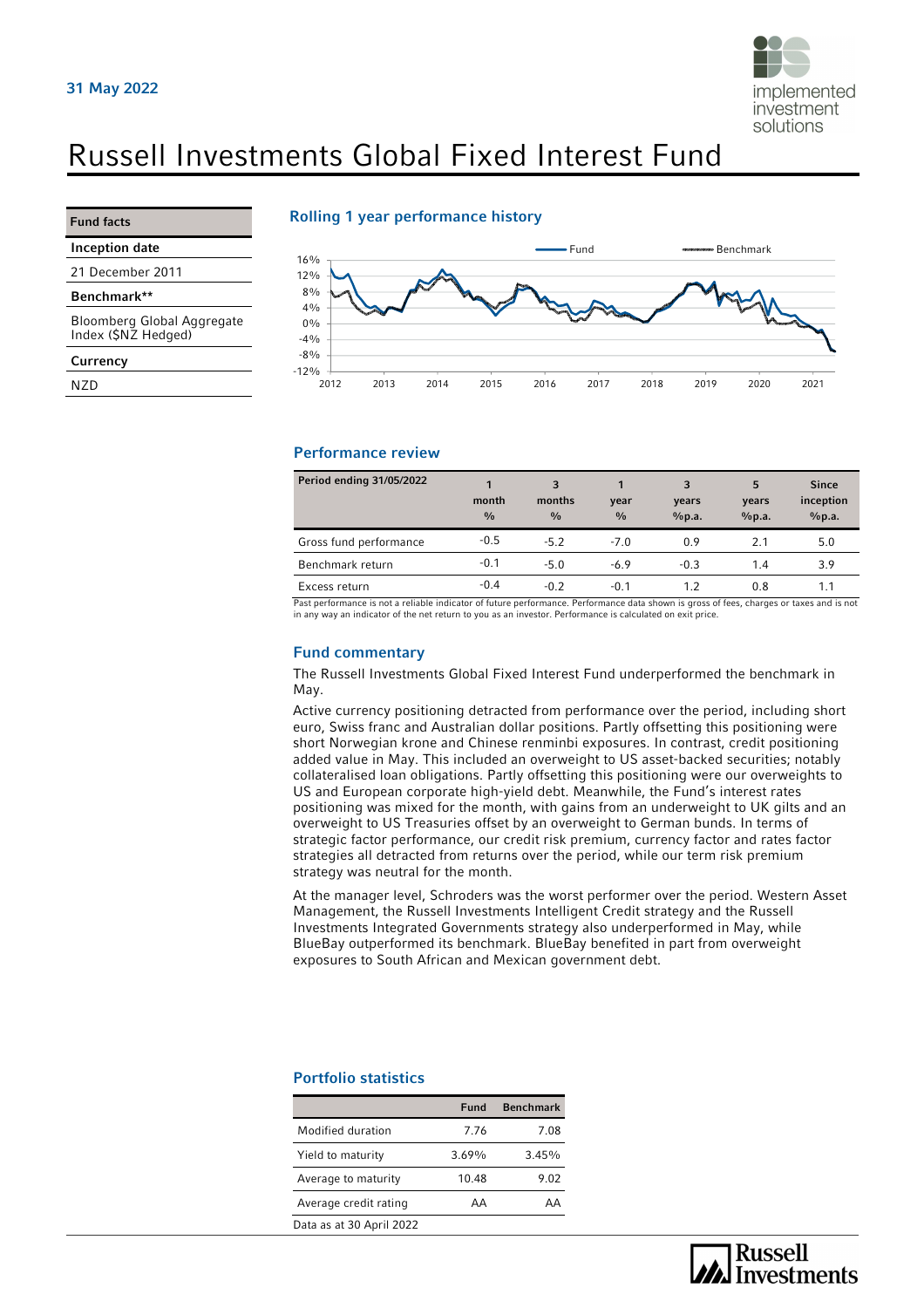

# Russell Investments Global Fixed Interest Fund

Inception date

21 December 2011

Benchmark\*\*

Bloomberg Global Aggregate Index (\$NZ Hedged)

**Currency** 

NZD

#### Rolling 1 year performance history



#### Performance review

| Period ending 31/05/2022 | 1<br>month<br>$\frac{0}{0}$ | 3<br>months<br>$\frac{0}{0}$ | year<br>$\frac{0}{0}$ | 3<br>years<br>%p.a. | 5<br>years<br>%p.a. | <b>Since</b><br>inception<br>%p.a. |
|--------------------------|-----------------------------|------------------------------|-----------------------|---------------------|---------------------|------------------------------------|
| Gross fund performance   | $-0.5$                      | $-5.2$                       | $-7.0$                | 0.9                 | 2.1                 | 5.0                                |
| Benchmark return         | $-0.1$                      | $-5.0$                       | $-6.9$                | $-0.3$              | 1.4                 | 3.9                                |
| Excess return            | $-0.4$                      | $-0.2$                       | $-0.1$                | 1.2                 | 0.8                 | 1.1                                |

Past performance is not a reliable indicator of future performance. Performance data shown is gross of fees, charges or taxes and is not<br>in any way an indicator of the net return to you as an investor. Performance is calcu

#### Fund commentary

The Russell Investments Global Fixed Interest Fund underperformed the benchmark in May.

Active currency positioning detracted from performance over the period, including short euro, Swiss franc and Australian dollar positions. Partly offsetting this positioning were short Norwegian krone and Chinese renminbi exposures. In contrast, credit positioning added value in May. This included an overweight to US asset-backed securities; notably collateralised loan obligations. Partly offsetting this positioning were our overweights to US and European corporate high-yield debt. Meanwhile, the Fund's interest rates positioning was mixed for the month, with gains from an underweight to UK gilts and an overweight to US Treasuries offset by an overweight to German bunds. In terms of strategic factor performance, our credit risk premium, currency factor and rates factor strategies all detracted from returns over the period, while our term risk premium strategy was neutral for the month.

At the manager level, Schroders was the worst performer over the period. Western Asset Management, the Russell Investments Intelligent Credit strategy and the Russell Investments Integrated Governments strategy also underperformed in May, while BlueBay outperformed its benchmark. BlueBay benefited in part from overweight exposures to South African and Mexican government debt.

### Portfolio statistics

|                          | Fund  | <b>Benchmark</b> |
|--------------------------|-------|------------------|
| Modified duration        | 7.76  | 7.08             |
| Yield to maturity        | 3.69% | 3.45%            |
| Average to maturity      | 10.48 | 9.02             |
| Average credit rating    | AA    | AΑ               |
| Data as at 30 April 2022 |       |                  |